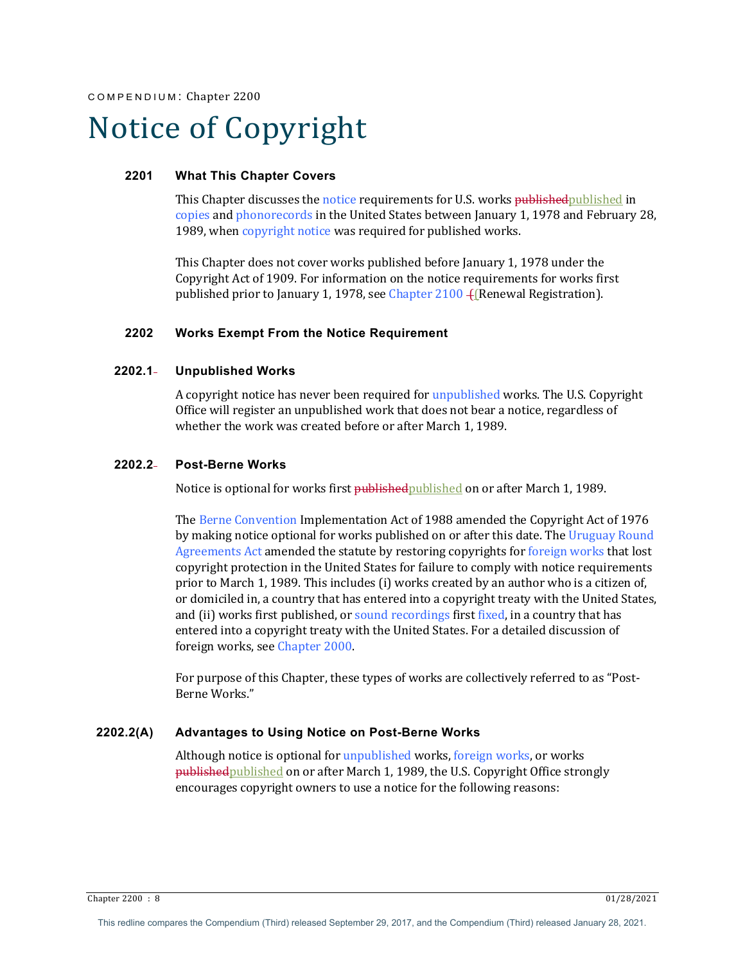# Notice of Copyright

## **2201 What This Chapter Covers**

This Chapter discusses the notice requirements for U.S. works **published** published in copies and phonorecords in the United States between January 1, 1978 and February 28, 1989, when copyright notice was required for published works.

This Chapter does not cover works published before January 1, 1978 under the Copyright Act of 1909. For information on the notice requirements for works first published prior to January 1, 1978, see Chapter 2100  $+$  [Renewal Registration).

## **2202 Works Exempt From the Notice Requirement**

## **2202.1 Unpublished Works**

A copyright notice has never been required for unpublished works. The U.S. Copyright Office will register an unpublished work that does not bear a notice, regardless of whether the work was created before or after March 1, 1989.

#### **2202.2 Post-Berne Works**

Notice is optional for works first published published on or after March 1, 1989.

The Berne Convention Implementation Act of 1988 amended the Copyright Act of 1976 by making notice optional for works published on or after this date. The Uruguay Round Agreements Act amended the statute by restoring copyrights for foreign works that lost copyright protection in the United States for failure to comply with notice requirements prior to March 1, 1989. This includes  $(i)$  works created by an author who is a citizen of, or domiciled in, a country that has entered into a copyright treaty with the United States, and (ii) works first published, or sound recordings first fixed, in a country that has entered into a copyright treaty with the United States. For a detailed discussion of foreign works, see Chapter 2000.

For purpose of this Chapter, these types of works are collectively referred to as "Post-Berne Works."

## **2202.2(A) Advantages to Using Notice on Post-Berne Works**

Although notice is optional for unpublished works, foreign works, or works published published on or after March 1, 1989, the U.S. Copyright Office strongly encourages copyright owners to use a notice for the following reasons: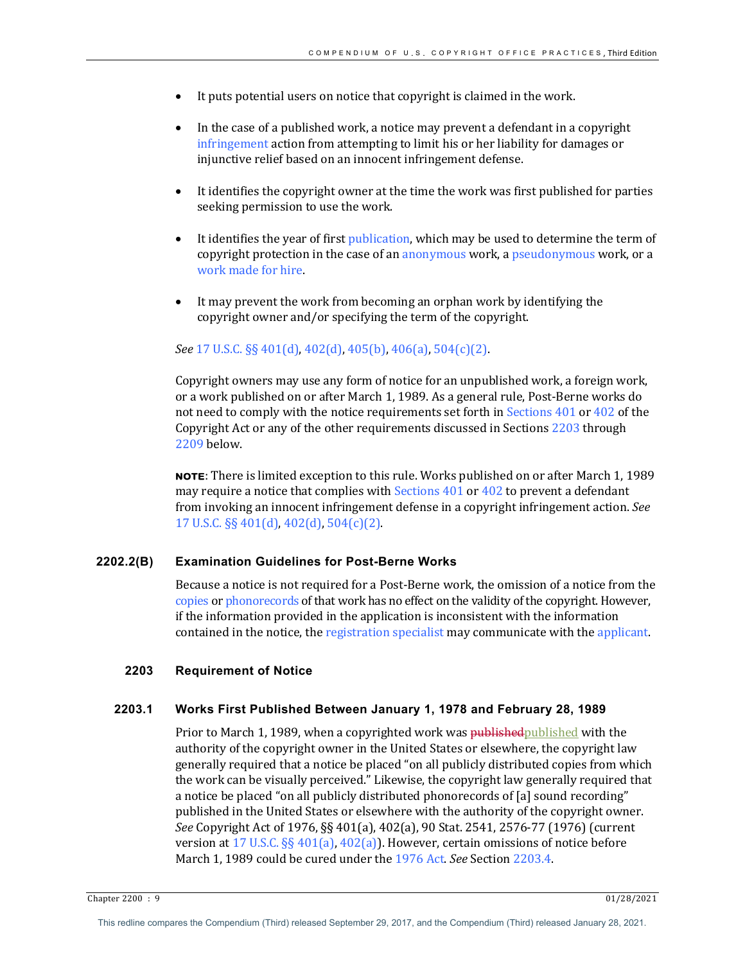- It puts potential users on notice that copyright is claimed in the work.
- In the case of a published work, a notice may prevent a defendant in a copyright infringement action from attempting to limit his or her liability for damages or injunctive relief based on an innocent infringement defense.
- It identifies the copyright owner at the time the work was first published for parties seeking permission to use the work.
- It identifies the year of first publication, which may be used to determine the term of copyright protection in the case of an anonymous work, a pseudonymous work, or a work made for hire.
- It may prevent the work from becoming an orphan work by identifying the copyright owner and/or specifying the term of the copyright.

## *See* 17 U.S.C. §§ 401(d), 402(d), 405(b), 406(a), 504(c)(2).

Copyright owners may use any form of notice for an unpublished work, a foreign work, or a work published on or after March 1, 1989. As a general rule, Post-Berne works do not need to comply with the notice requirements set forth in Sections 401 or 402 of the Copyright Act or any of the other requirements discussed in Sections 2203 through 2209 below.

NOTE: There is limited exception to this rule. Works published on or after March 1, 1989 may require a notice that complies with  $S_{\text{ections}}$  401 or 402 to prevent a defendant from invoking an innocent infringement defense in a copyright infringement action. See  $17 \text{ U.S.C.}$   $\S$ §  $401\text{ (d)}$ ,  $402\text{ (d)}$ ,  $504\text{ (c)}$  $(2)$ .

# **2202.2(B) Examination Guidelines for Post-Berne Works**

Because a notice is not required for a Post-Berne work, the omission of a notice from the copies or phonorecords of that work has no effect on the validity of the copyright. However, if the information provided in the application is inconsistent with the information contained in the notice, the registration specialist may communicate with the applicant.

## **2203 Requirement of Notice**

## **2203.1 Works First Published Between January 1, 1978 and February 28, 1989**

Prior to March 1, 1989, when a copyrighted work was published published with the authority of the copyright owner in the United States or elsewhere, the copyright law generally required that a notice be placed "on all publicly distributed copies from which the work can be visually perceived." Likewise, the copyright law generally required that a notice be placed "on all publicly distributed phonorecords of [a] sound recording" published in the United States or elsewhere with the authority of the copyright owner. See Copyright Act of 1976, §§ 401(a), 402(a), 90 Stat. 2541, 2576-77 (1976) (current version at 17 U.S.C.  $\S$ § 401(a), 402(a)). However, certain omissions of notice before March 1, 1989 could be cured under the 1976 Act. See Section 2203.4.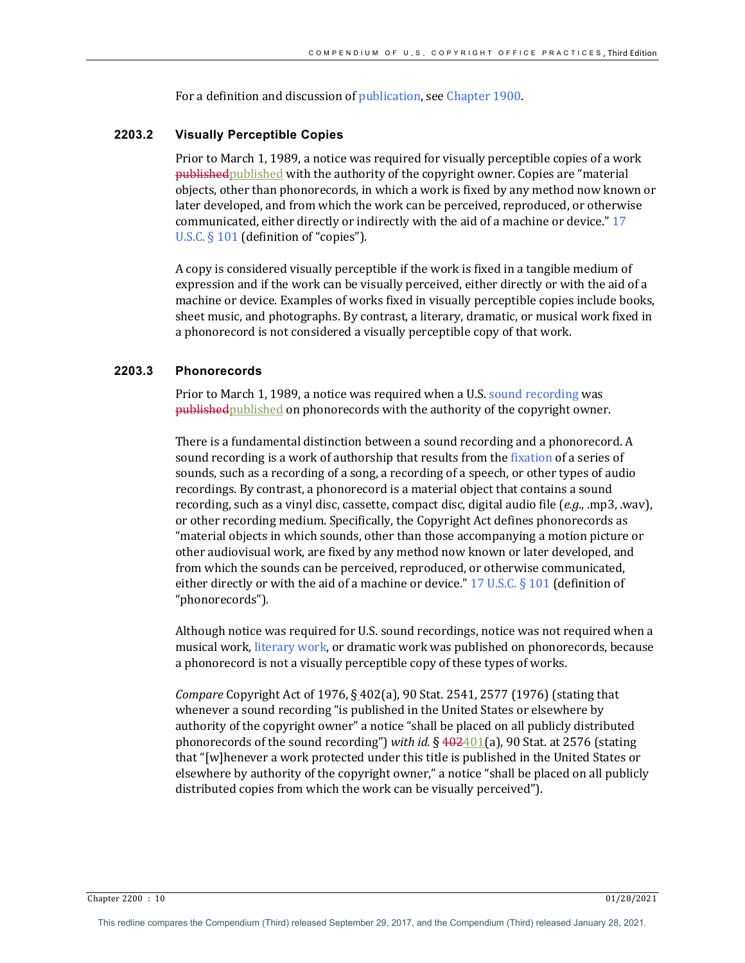For a definition and discussion of publication, see Chapter 1900.

# **2203.2 Visually Perceptible Copies**

Prior to March 1, 1989, a notice was required for visually perceptible copies of a work published published with the authority of the copyright owner. Copies are "material objects, other than phonorecords, in which a work is fixed by any method now known or later developed, and from which the work can be perceived, reproduced, or otherwise communicated, either directly or indirectly with the aid of a machine or device." 17 U.S.C.  $\S 101$  (definition of "copies").

A copy is considered visually perceptible if the work is fixed in a tangible medium of expression and if the work can be visually perceived, either directly or with the aid of a machine or device. Examples of works fixed in visually perceptible copies include books, sheet music, and photographs. By contrast, a literary, dramatic, or musical work fixed in a phonorecord is not considered a visually perceptible copy of that work.

# **2203.3 Phonorecords**

Prior to March 1, 1989, a notice was required when a U.S. sound recording was published published on phonorecords with the authority of the copyright owner.

There is a fundamental distinction between a sound recording and a phonorecord. A sound recording is a work of authorship that results from the fixation of a series of sounds, such as a recording of a song, a recording of a speech, or other types of audio recordings. By contrast, a phonorecord is a material object that contains a sound recording, such as a vinyl disc, cassette, compact disc, digital audio file (*e.g.*, .mp3, .wav), or other recording medium. Specifically, the Copyright Act defines phonorecords as "material objects in which sounds, other than those accompanying a motion picture or other audiovisual work, are fixed by any method now known or later developed, and from which the sounds can be perceived, reproduced, or otherwise communicated, either directly or with the aid of a machine or device."  $17 \text{ U.S.C.} \$ 101$  (definition of "phonorecords").

Although notice was required for U.S. sound recordings, notice was not required when a musical work, literary work, or dramatic work was published on phonorecords, because a phonorecord is not a visually perceptible copy of these types of works.

*Compare* Copyright Act of 1976, § 402(a), 90 Stat. 2541, 2577 (1976) (stating that whenever a sound recording "is published in the United States or elsewhere by authority of the copyright owner" a notice "shall be placed on all publicly distributed phonorecords of the sound recording") *with id.*  $\S 402401$ (a), 90 Stat. at 2576 (stating that "[w]henever a work protected under this title is published in the United States or elsewhere by authority of the copyright owner," a notice "shall be placed on all publicly distributed copies from which the work can be visually perceived").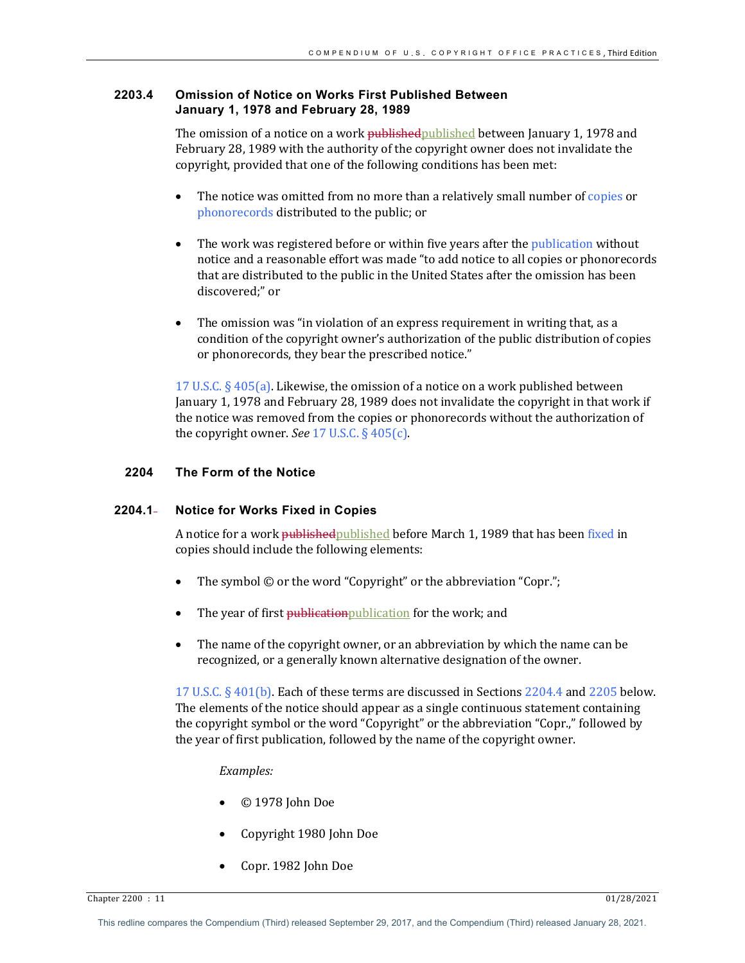# **2203.4 Omission of Notice on Works First Published Between January 1, 1978 and February 28, 1989**

The omission of a notice on a work published published between January 1, 1978 and February 28, 1989 with the authority of the copyright owner does not invalidate the copyright, provided that one of the following conditions has been met:

- The notice was omitted from no more than a relatively small number of copies or phonorecords distributed to the public; or
- The work was registered before or within five years after the publication without notice and a reasonable effort was made "to add notice to all copies or phonorecords that are distributed to the public in the United States after the omission has been discovered:" or
- The omission was "in violation of an express requirement in writing that, as a condition of the copyright owner's authorization of the public distribution of copies or phonorecords, they bear the prescribed notice."

17 U.S.C.  $\S$  405(a). Likewise, the omission of a notice on a work published between January 1, 1978 and February 28, 1989 does not invalidate the copyright in that work if the notice was removed from the copies or phonorecords without the authorization of the copyright owner. *See* 17 U.S.C.  $\S$  405(c).

# **2204 The Form of the Notice**

## **2204.1 Notice for Works Fixed in Copies**

A notice for a work published published before March 1, 1989 that has been fixed in copies should include the following elements:

- The symbol  $\odot$  or the word "Copyright" or the abbreviation "Copr.";
- The year of first *publication publication* for the work; and
- The name of the copyright owner, or an abbreviation by which the name can be recognized, or a generally known alternative designation of the owner.

17 U.S.C.  $\S$  401(b). Each of these terms are discussed in Sections 2204.4 and 2205 below. The elements of the notice should appear as a single continuous statement containing the copyright symbol or the word "Copyright" or the abbreviation "Copr.," followed by the year of first publication, followed by the name of the copyright owner.

# *Examples:*

- © 1978 John Doe
- Copyright 1980 John Doe
- Copr. 1982 John Doe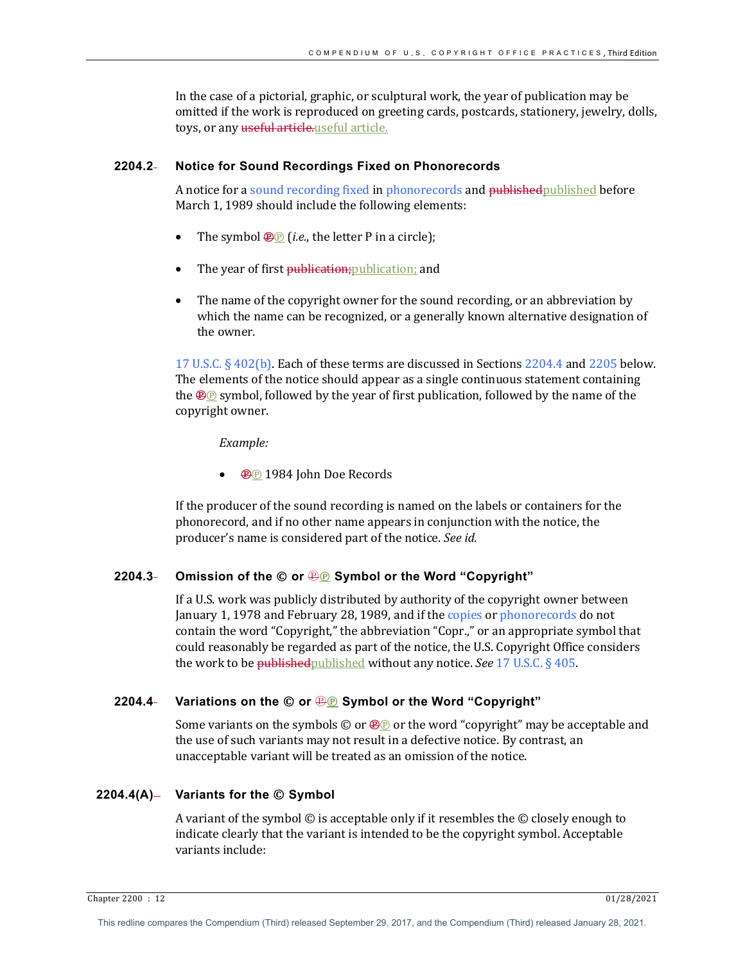In the case of a pictorial, graphic, or sculptural work, the year of publication may be omitted if the work is reproduced on greeting cards, postcards, stationery, jewelry, dolls, toys, or any useful article.useful article.

## **2204.2 Notice for Sound Recordings Fixed on Phonorecords**

A notice for a sound recording fixed in phonorecords and publishedpublished before March 1, 1989 should include the following elements:

- The symbol  $\bigoplus$  *(i.e.,* the letter P in a circle);
- The year of first publication; publication; and
- The name of the copyright owner for the sound recording, or an abbreviation by which the name can be recognized, or a generally known alternative designation of the owner.

17 U.S.C.  $\S$  402(b). Each of these terms are discussed in Sections 2204.4 and 2205 below. The elements of the notice should appear as a single continuous statement containing the  $\bigoplus$ © symbol, followed by the year of first publication, followed by the name of the copyright owner.

*Example:* 

• **@**@ 1984 John Doe Records

If the producer of the sound recording is named on the labels or containers for the phonorecord, and if no other name appears in conjunction with the notice, the producer's name is considered part of the notice. See id.

# **2204.3 Omission of the © or** Ⓟ**℗ Symbol or the Word "Copyright"**

If a U.S. work was publicly distributed by authority of the copyright owner between January 1, 1978 and February 28, 1989, and if the copies or phonorecords do not contain the word "Copyright," the abbreviation "Copr.," or an appropriate symbol that could reasonably be regarded as part of the notice, the U.S. Copyright Office considers the work to be *published published* without any notice. *See* 17 U.S.C. § 405.

# **2204.4 Variations on the © or** Ⓟ**℗ Symbol or the Word "Copyright"**

Some variants on the symbols  $\odot$  or  $\oplus \odot$  or the word "copyright" may be acceptable and the use of such variants may not result in a defective notice. By contrast, an unacceptable variant will be treated as an omission of the notice.

# **2204.4(A) Variants for the © Symbol**

A variant of the symbol  $\odot$  is acceptable only if it resembles the  $\odot$  closely enough to indicate clearly that the variant is intended to be the copyright symbol. Acceptable variants include: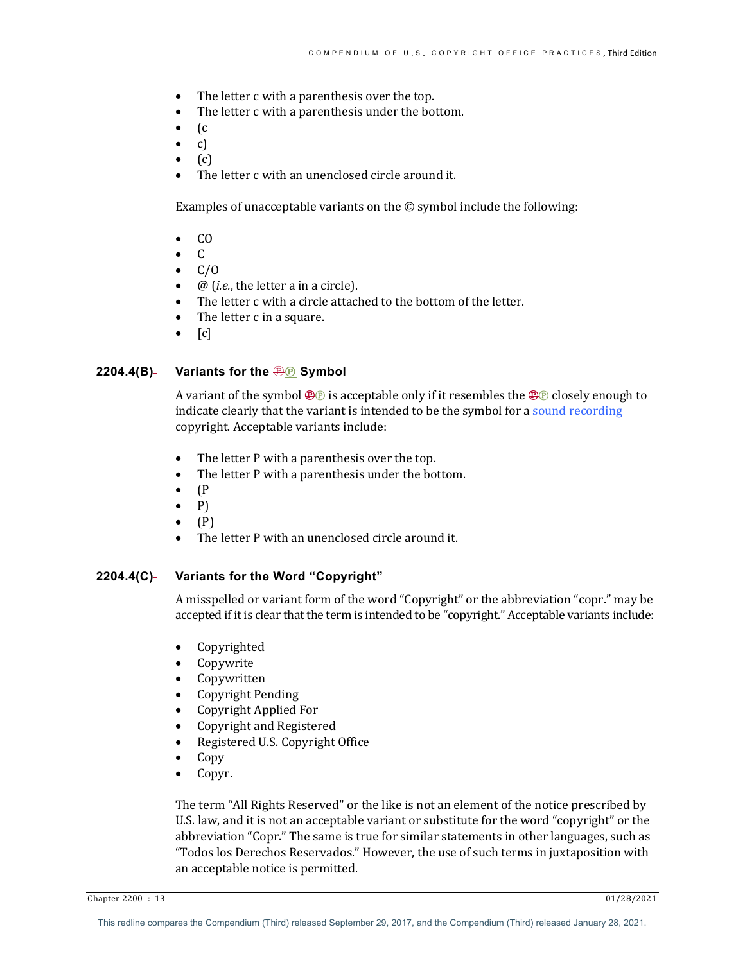- The letter c with a parenthesis over the top.
- The letter c with a parenthesis under the bottom.
- $(c)$
- $\bullet$  c)
- $(c)$
- The letter c with an unenclosed circle around it.

Examples of unacceptable variants on the  $\odot$  symbol include the following:

- CO
- C
- $\bullet$   $C/O$
- $\omega$  (*i.e.*, the letter a in a circle).
- The letter c with a circle attached to the bottom of the letter.
- The letter  $c$  in a square.
- $\bullet$  [c]

# **2204.4(B) Variants for the** Ⓟ**℗ Symbol**

A variant of the symbol  $\bigcircled{P\circled{D}}$  is acceptable only if it resembles the  $\bigcircled{P\circled{D}}$  closely enough to indicate clearly that the variant is intended to be the symbol for a sound recording copyright. Acceptable variants include:

- The letter P with a parenthesis over the top.
- The letter P with a parenthesis under the bottom.
- $\bullet$  (P
- $\bullet$  P)
- $\bullet$  (P)
- The letter P with an unenclosed circle around it.

# **2204.4(C) Variants for the Word "Copyright"**

A misspelled or variant form of the word "Copyright" or the abbreviation "copr." may be accepted if it is clear that the term is intended to be "copyright." Acceptable variants include:

- Copyrighted
- Copywrite
- Copywritten
- Copyright Pending
- Copyright Applied For
- Copyright and Registered
- Registered U.S. Copyright Office
- Copy
- Copyr.

The term "All Rights Reserved" or the like is not an element of the notice prescribed by U.S. law, and it is not an acceptable variant or substitute for the word "copyright" or the abbreviation "Copr." The same is true for similar statements in other languages, such as "Todos los Derechos Reservados." However, the use of such terms in juxtaposition with an acceptable notice is permitted.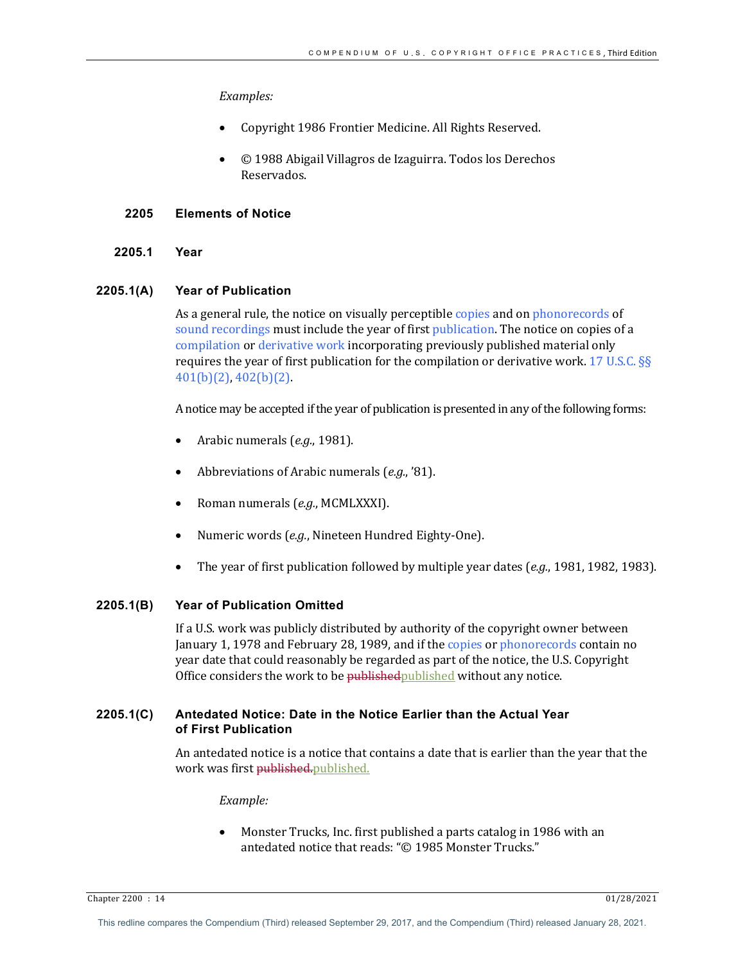## *Examples:*

- Copyright 1986 Frontier Medicine. All Rights Reserved.
- © 1988 Abigail Villagros de Izaguirra. Todos los Derechos Reservados.

# **2205 Elements of Notice**

# **2205.1 Year**

## **2205.1(A) Year of Publication**

As a general rule, the notice on visually perceptible copies and on phonorecords of sound recordings must include the year of first publication. The notice on copies of a compilation or derivative work incorporating previously published material only requires the year of first publication for the compilation or derivative work. 17 U.S.C. §§  $401(b)(2)$ ,  $402(b)(2)$ .

A notice may be accepted if the year of publication is presented in any of the following forms:

- Arabic numerals (e.g., 1981).
- Abbreviations of Arabic numerals (*e.g.*, '81).
- Roman numerals (e.g., MCMLXXXI).
- Numeric words (e.g., Nineteen Hundred Eighty-One).
- The year of first publication followed by multiple year dates (*e.g.*, 1981, 1982, 1983).

# **2205.1(B) Year of Publication Omitted**

If a U.S. work was publicly distributed by authority of the copyright owner between January 1, 1978 and February 28, 1989, and if the copies or phonorecords contain no year date that could reasonably be regarded as part of the notice, the U.S. Copyright Office considers the work to be published published without any notice.

## **2205.1(C) Antedated Notice: Date in the Notice Earlier than the Actual Year of First Publication**

An antedated notice is a notice that contains a date that is earlier than the year that the work was first *published*.published.

*Example:*

• Monster Trucks, Inc. first published a parts catalog in 1986 with an antedated notice that reads: "© 1985 Monster Trucks."

Chapter 2200 : 14 01/28/2021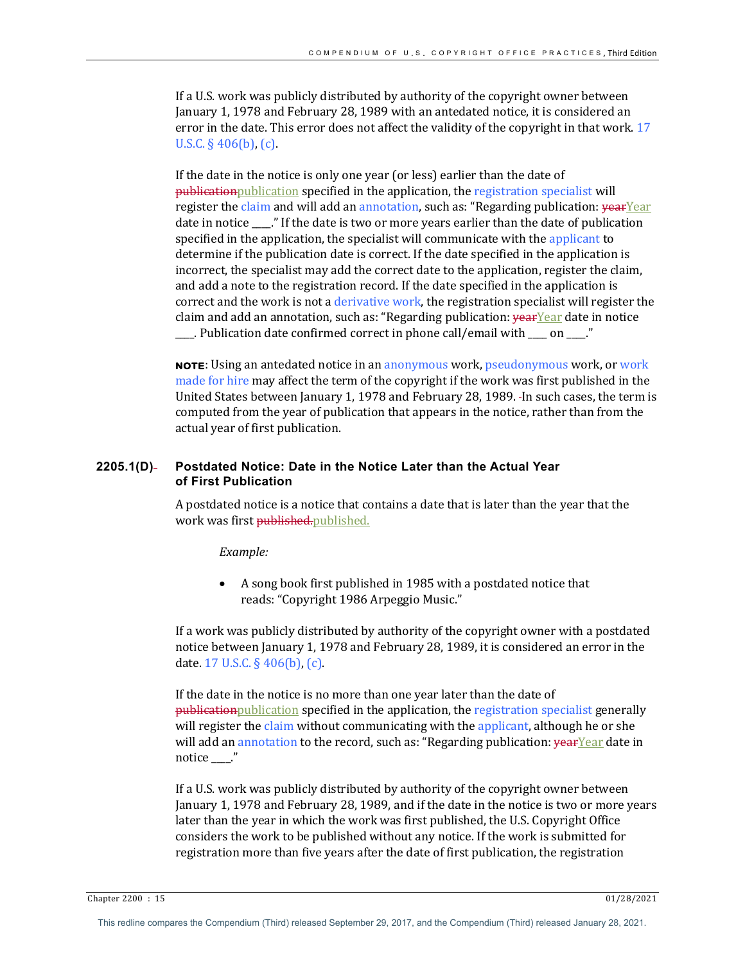If a U.S. work was publicly distributed by authority of the copyright owner between January 1, 1978 and February 28, 1989 with an antedated notice, it is considered an error in the date. This error does not affect the validity of the copyright in that work.  $17$ U.S.C.  $\S$  406(b), (c).

If the date in the notice is only one year (or less) earlier than the date of publication publication specified in the application, the registration specialist will register the claim and will add an annotation, such as: "Regarding publication:  $\frac{1}{2}$ date in notice  $\frac{1}{\sqrt{2}}$ . If the date is two or more years earlier than the date of publication specified in the application, the specialist will communicate with the applicant to determine if the publication date is correct. If the date specified in the application is incorrect, the specialist may add the correct date to the application, register the claim, and add a note to the registration record. If the date specified in the application is correct and the work is not a derivative work, the registration specialist will register the claim and add an annotation, such as: "Regarding publication:  $\frac{1}{2}$  wear date in notice \_\_\_\_. Publication date confirmed correct in phone call/email with \_\_\_ on \_\_\_."

**NOTE:** Using an antedated notice in an anonymous work, pseudonymous work, or work made for hire may affect the term of the copyright if the work was first published in the United States between January 1, 1978 and February 28, 1989. In such cases, the term is computed from the year of publication that appears in the notice, rather than from the actual year of first publication.

# **2205.1(D) Postdated Notice: Date in the Notice Later than the Actual Year of First Publication**

A postdated notice is a notice that contains a date that is later than the year that the work was first **published**.published.

#### *Example:*

• A song book first published in 1985 with a postdated notice that reads: "Copyright 1986 Arpeggio Music."

If a work was publicly distributed by authority of the copyright owner with a postdated notice between January 1, 1978 and February 28, 1989, it is considered an error in the date.  $17 \text{ U.S.C.}$  §  $406(b)$ , (c).

If the date in the notice is no more than one year later than the date of publication publication specified in the application, the registration specialist generally will register the claim without communicating with the applicant, although he or she will add an annotation to the record, such as: "Regarding publication: yearYear date in notice ."

If a U.S. work was publicly distributed by authority of the copyright owner between January 1, 1978 and February 28, 1989, and if the date in the notice is two or more years later than the year in which the work was first published, the U.S. Copyright Office considers the work to be published without any notice. If the work is submitted for registration more than five years after the date of first publication, the registration

Chapter 2200 : 15 01/28/2021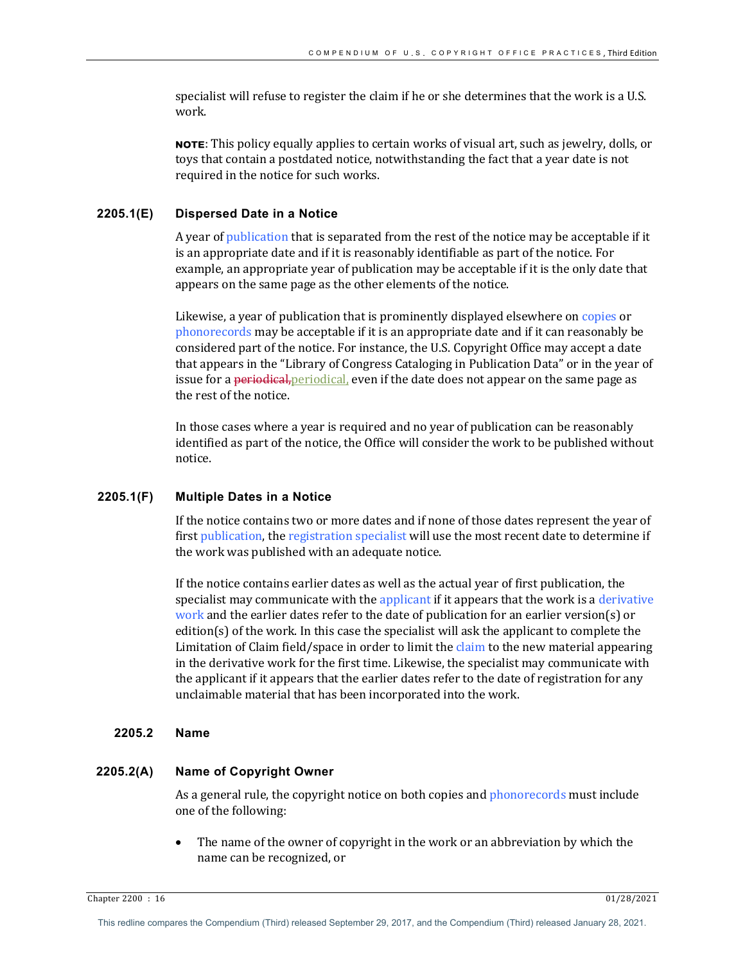specialist will refuse to register the claim if he or she determines that the work is a U.S. work. 

**NOTE:** This policy equally applies to certain works of visual art, such as jewelry, dolls, or toys that contain a postdated notice, notwithstanding the fact that a year date is not required in the notice for such works.

## **2205.1(E) Dispersed Date in a Notice**

A year of publication that is separated from the rest of the notice may be acceptable if it is an appropriate date and if it is reasonably identifiable as part of the notice. For example, an appropriate year of publication may be acceptable if it is the only date that appears on the same page as the other elements of the notice.

Likewise, a year of publication that is prominently displayed elsewhere on copies or phonorecords may be acceptable if it is an appropriate date and if it can reasonably be considered part of the notice. For instance, the U.S. Copyright Office may accept a date that appears in the "Library of Congress Cataloging in Publication Data" or in the year of issue for a periodical, periodical, even if the date does not appear on the same page as the rest of the notice.

In those cases where a year is required and no year of publication can be reasonably identified as part of the notice, the Office will consider the work to be published without notice. 

## **2205.1(F) Multiple Dates in a Notice**

If the notice contains two or more dates and if none of those dates represent the year of first publication, the registration specialist will use the most recent date to determine if the work was published with an adequate notice.

If the notice contains earlier dates as well as the actual year of first publication, the specialist may communicate with the applicant if it appears that the work is a derivative work and the earlier dates refer to the date of publication for an earlier version(s) or edition(s) of the work. In this case the specialist will ask the applicant to complete the Limitation of Claim field/space in order to limit the claim to the new material appearing in the derivative work for the first time. Likewise, the specialist may communicate with the applicant if it appears that the earlier dates refer to the date of registration for any unclaimable material that has been incorporated into the work.

## **2205.2 Name**

## **2205.2(A) Name of Copyright Owner**

As a general rule, the copyright notice on both copies and phonorecords must include one of the following:

The name of the owner of copyright in the work or an abbreviation by which the name can be recognized, or

Chapter 2200 : 16 01/28/2021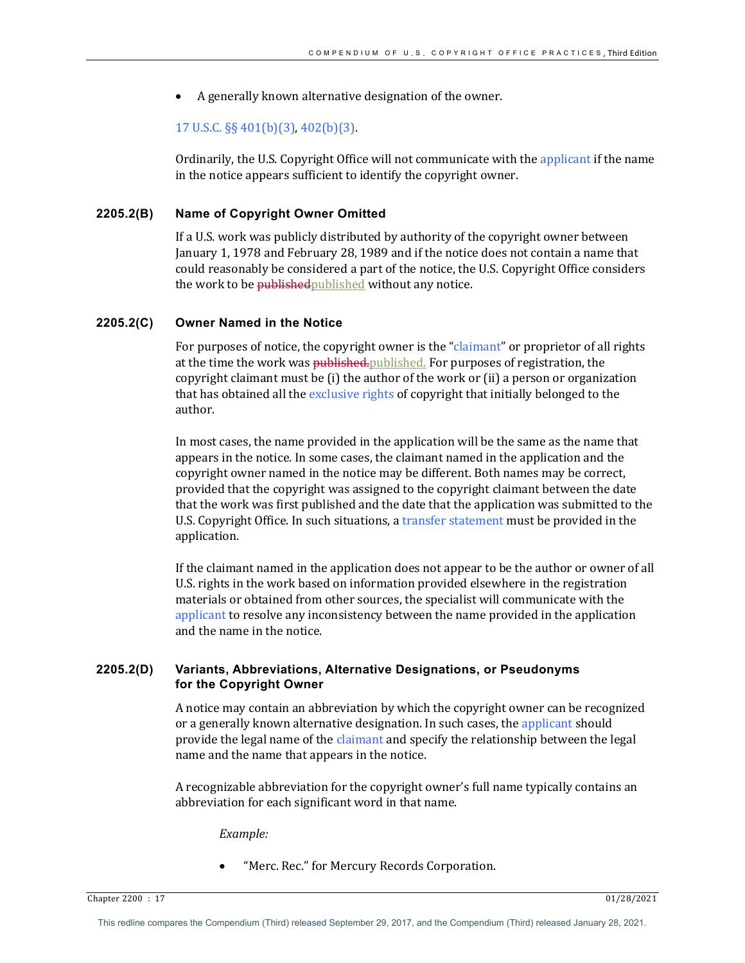A generally known alternative designation of the owner.

# 17 U.S.C. §§ 401(b)(3), 402(b)(3).

Ordinarily, the U.S. Copyright Office will not communicate with the applicant if the name in the notice appears sufficient to identify the copyright owner.

# **2205.2(B) Name of Copyright Owner Omitted**

If a U.S. work was publicly distributed by authority of the copyright owner between January 1, 1978 and February 28, 1989 and if the notice does not contain a name that could reasonably be considered a part of the notice, the U.S. Copyright Office considers the work to be published published without any notice.

# **2205.2(C) Owner Named in the Notice**

For purposes of notice, the copyright owner is the "claimant" or proprietor of all rights at the time the work was published. published. For purposes of registration, the copyright claimant must be  $(i)$  the author of the work or  $(ii)$  a person or organization that has obtained all the exclusive rights of copyright that initially belonged to the author. 

In most cases, the name provided in the application will be the same as the name that appears in the notice. In some cases, the claimant named in the application and the copyright owner named in the notice may be different. Both names may be correct, provided that the copyright was assigned to the copyright claimant between the date that the work was first published and the date that the application was submitted to the U.S. Copyright Office. In such situations, a transfer statement must be provided in the application.

If the claimant named in the application does not appear to be the author or owner of all U.S. rights in the work based on information provided elsewhere in the registration materials or obtained from other sources, the specialist will communicate with the applicant to resolve any inconsistency between the name provided in the application and the name in the notice.

# **2205.2(D) Variants, Abbreviations, Alternative Designations, or Pseudonyms for the Copyright Owner**

A notice may contain an abbreviation by which the copyright owner can be recognized or a generally known alternative designation. In such cases, the applicant should provide the legal name of the claimant and specify the relationship between the legal name and the name that appears in the notice.

A recognizable abbreviation for the copyright owner's full name typically contains an abbreviation for each significant word in that name.

## *Example:*

"Merc. Rec." for Mercury Records Corporation.

Chapter 2200 : 17 01/28/2021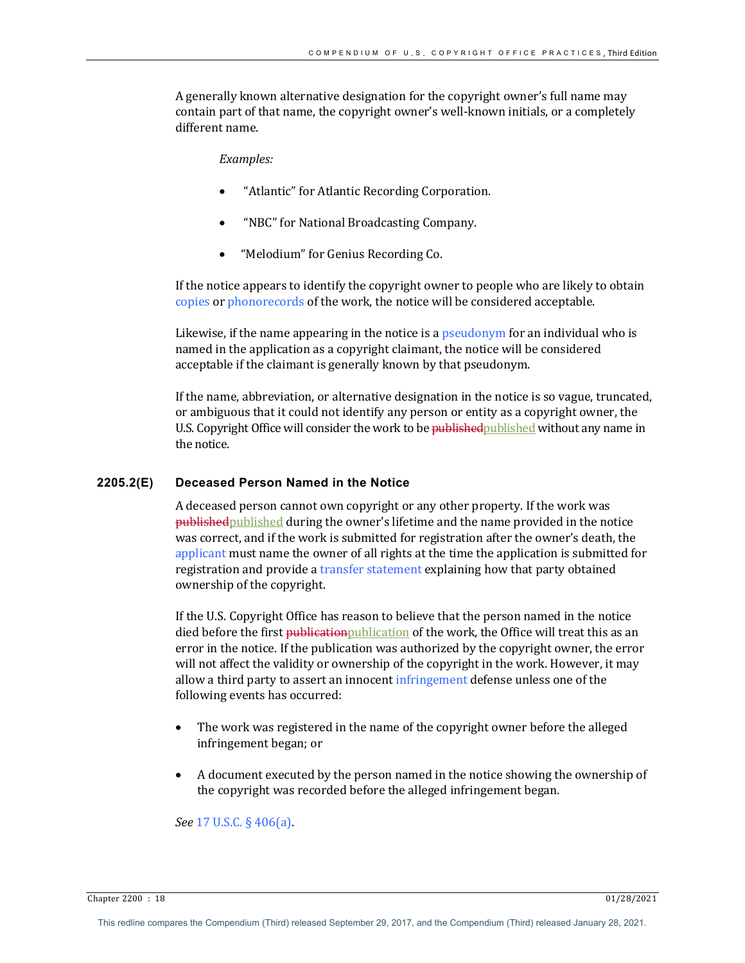A generally known alternative designation for the copyright owner's full name may contain part of that name, the copyright owner's well-known initials, or a completely different name.

## *Examples:*

- "Atlantic" for Atlantic Recording Corporation.
- "NBC" for National Broadcasting Company.
- "Melodium" for Genius Recording Co.

If the notice appears to identify the copyright owner to people who are likely to obtain copies or phonorecords of the work, the notice will be considered acceptable.

Likewise, if the name appearing in the notice is a pseudonym for an individual who is named in the application as a copyright claimant, the notice will be considered acceptable if the claimant is generally known by that pseudonym.

If the name, abbreviation, or alternative designation in the notice is so vague, truncated, or ambiguous that it could not identify any person or entity as a copyright owner, the U.S. Copyright Office will consider the work to be published published without any name in the notice.

## **2205.2(E) Deceased Person Named in the Notice**

A deceased person cannot own copyright or any other property. If the work was published published during the owner's lifetime and the name provided in the notice was correct, and if the work is submitted for registration after the owner's death, the applicant must name the owner of all rights at the time the application is submitted for registration and provide a transfer statement explaining how that party obtained ownership of the copyright.

If the U.S. Copyright Office has reason to believe that the person named in the notice died before the first <del>publication</del> publication of the work, the Office will treat this as an error in the notice. If the publication was authorized by the copyright owner, the error will not affect the validity or ownership of the copyright in the work. However, it may allow a third party to assert an innocent infringement defense unless one of the following events has occurred:

- The work was registered in the name of the copyright owner before the alleged infringement began; or
- A document executed by the person named in the notice showing the ownership of the copyright was recorded before the alleged infringement began.

*See* 17 U.S.C. § 406(a).

Chapter 2200 : 18 01/28/2021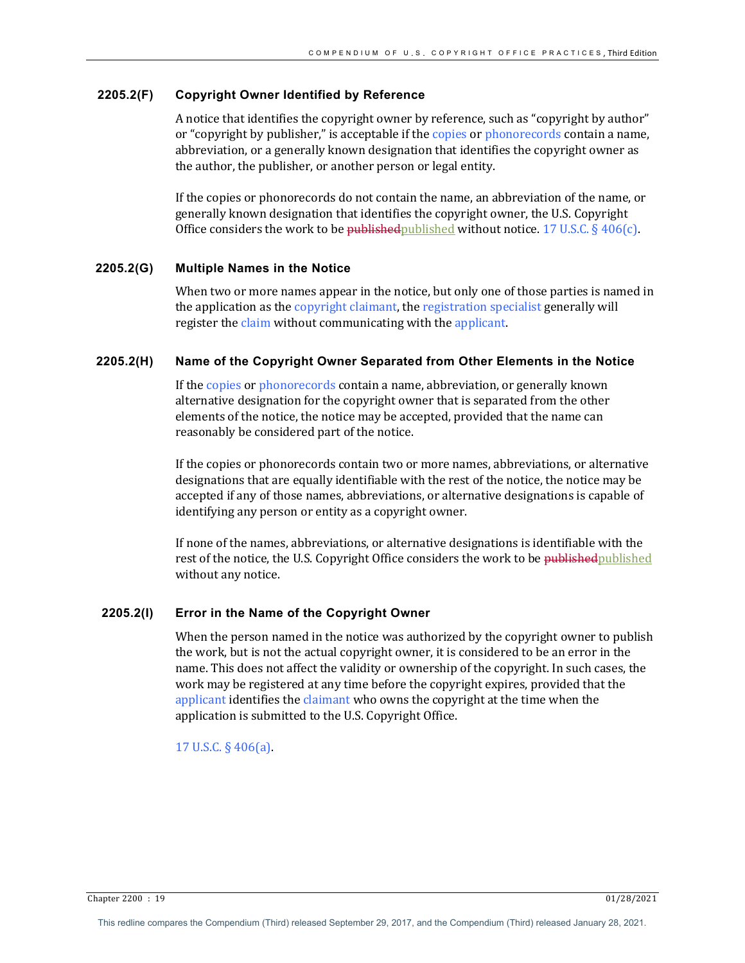## **2205.2(F) Copyright Owner Identified by Reference**

A notice that identifies the copyright owner by reference, such as "copyright by author" or "copyright by publisher," is acceptable if the copies or phonorecords contain a name, abbreviation, or a generally known designation that identifies the copyright owner as the author, the publisher, or another person or legal entity.

If the copies or phonorecords do not contain the name, an abbreviation of the name, or generally known designation that identifies the copyright owner, the U.S. Copyright Office considers the work to be published published without notice. 17 U.S.C.  $\S$  406(c).

## **2205.2(G) Multiple Names in the Notice**

When two or more names appear in the notice, but only one of those parties is named in the application as the copyright claimant, the registration specialist generally will register the claim without communicating with the applicant.

## **2205.2(H) Name of the Copyright Owner Separated from Other Elements in the Notice**

If the copies or phonorecords contain a name, abbreviation, or generally known alternative designation for the copyright owner that is separated from the other elements of the notice, the notice may be accepted, provided that the name can reasonably be considered part of the notice.

If the copies or phonorecords contain two or more names, abbreviations, or alternative designations that are equally identifiable with the rest of the notice, the notice may be accepted if any of those names, abbreviations, or alternative designations is capable of identifying any person or entity as a copyright owner.

If none of the names, abbreviations, or alternative designations is identifiable with the rest of the notice, the U.S. Copyright Office considers the work to be published published without any notice.

#### **2205.2(I) Error in the Name of the Copyright Owner**

When the person named in the notice was authorized by the copyright owner to publish the work, but is not the actual copyright owner, it is considered to be an error in the name. This does not affect the validity or ownership of the copyright. In such cases, the work may be registered at any time before the copyright expires, provided that the applicant identifies the claimant who owns the copyright at the time when the application is submitted to the U.S. Copyright Office.

#### 17 U.S.C.  $\S$  406(a).

Chapter 2200 : 19 01/28/2021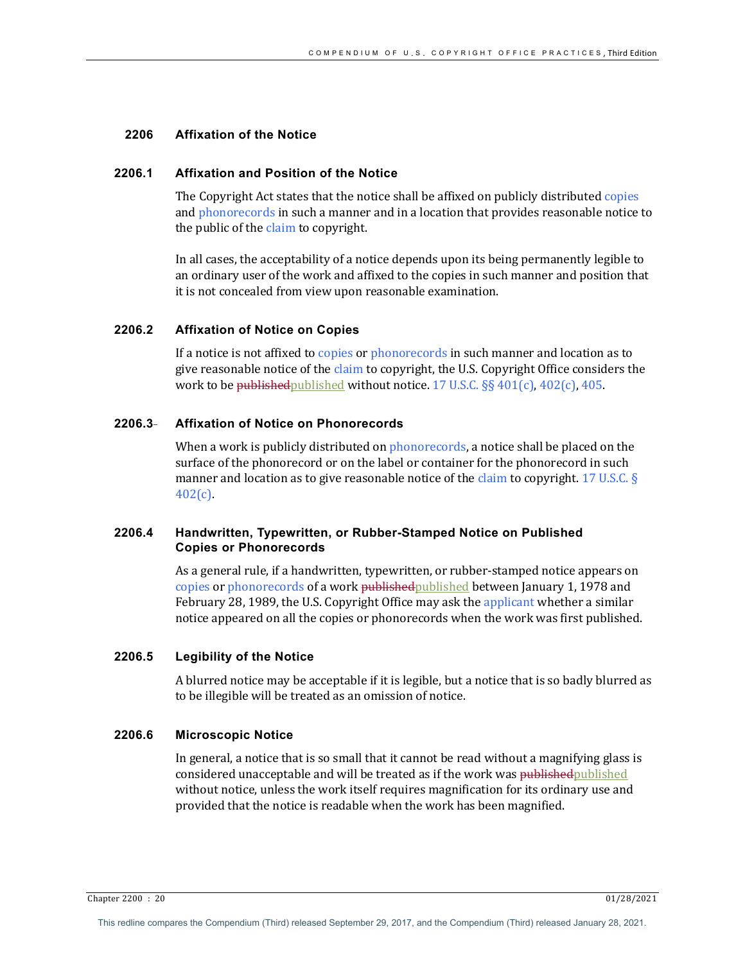# **2206 Affixation of the Notice**

# **2206.1 Affixation and Position of the Notice**

The Copyright Act states that the notice shall be affixed on publicly distributed copies and phonorecords in such a manner and in a location that provides reasonable notice to the public of the claim to copyright.

In all cases, the acceptability of a notice depends upon its being permanently legible to an ordinary user of the work and affixed to the copies in such manner and position that it is not concealed from view upon reasonable examination.

# **2206.2 Affixation of Notice on Copies**

If a notice is not affixed to copies or phonorecords in such manner and location as to give reasonable notice of the claim to copyright, the U.S. Copyright Office considers the work to be published published without notice. 17 U.S.C.  $\S$ § 401(c), 402(c), 405.

# **2206.3 Affixation of Notice on Phonorecords**

When a work is publicly distributed on phonorecords, a notice shall be placed on the surface of the phonorecord or on the label or container for the phonorecord in such manner and location as to give reasonable notice of the claim to copyright. 17 U.S.C.  $\S$ 402(c).

## **2206.4 Handwritten, Typewritten, or Rubber-Stamped Notice on Published Copies or Phonorecords**

As a general rule, if a handwritten, typewritten, or rubber-stamped notice appears on copies or phonorecords of a work published published between January 1, 1978 and February 28, 1989, the U.S. Copyright Office may ask the applicant whether a similar notice appeared on all the copies or phonorecords when the work was first published.

# **2206.5 Legibility of the Notice**

A blurred notice may be acceptable if it is legible, but a notice that is so badly blurred as to be illegible will be treated as an omission of notice.

#### **2206.6 Microscopic Notice**

In general, a notice that is so small that it cannot be read without a magnifying glass is considered unacceptable and will be treated as if the work was published published without notice, unless the work itself requires magnification for its ordinary use and provided that the notice is readable when the work has been magnified.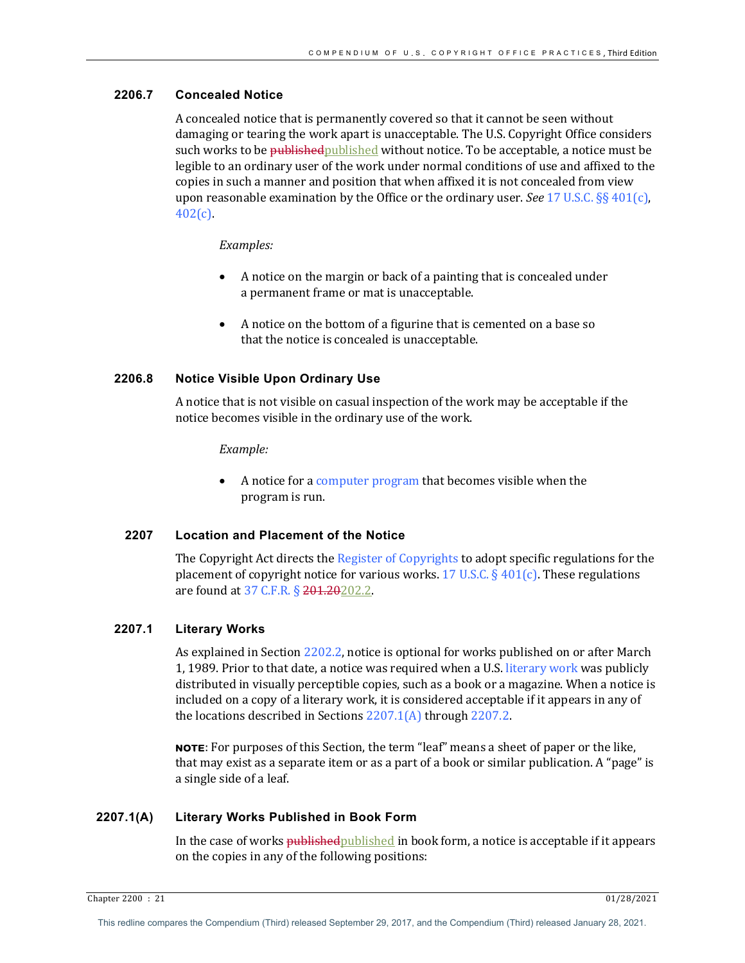# **2206.7 Concealed Notice**

A concealed notice that is permanently covered so that it cannot be seen without damaging or tearing the work apart is unacceptable. The U.S. Copyright Office considers such works to be <del>published</del> published without notice. To be acceptable, a notice must be legible to an ordinary user of the work under normal conditions of use and affixed to the copies in such a manner and position that when affixed it is not concealed from view upon reasonable examination by the Office or the ordinary user. *See* 17 U.S.C. §§ 401(c), 402(c). 

# *Examples:*

- A notice on the margin or back of a painting that is concealed under a permanent frame or mat is unacceptable.
- A notice on the bottom of a figurine that is cemented on a base so that the notice is concealed is unacceptable.

# **2206.8 Notice Visible Upon Ordinary Use**

A notice that is not visible on casual inspection of the work may be acceptable if the notice becomes visible in the ordinary use of the work.

# *Example:*

• A notice for a computer program that becomes visible when the program is run.

# **2207 Location and Placement of the Notice**

The Copyright Act directs the Register of Copyrights to adopt specific regulations for the placement of copyright notice for various works.  $17$  U.S.C. §  $401(c)$ . These regulations are found at 37 C.F.R. § 201.20202.2.

# **2207.1 Literary Works**

As explained in Section 2202.2, notice is optional for works published on or after March 1, 1989. Prior to that date, a notice was required when a U.S. literary work was publicly distributed in visually perceptible copies, such as a book or a magazine. When a notice is included on a copy of a literary work, it is considered acceptable if it appears in any of the locations described in Sections  $2207.1(A)$  through  $2207.2$ .

**NOTE:** For purposes of this Section, the term "leaf" means a sheet of paper or the like, that may exist as a separate item or as a part of a book or similar publication. A "page" is a single side of a leaf.

# **2207.1(A) Literary Works Published in Book Form**

In the case of works published published in book form, a notice is acceptable if it appears on the copies in any of the following positions:

Chapter 2200 : 21 01/28/2021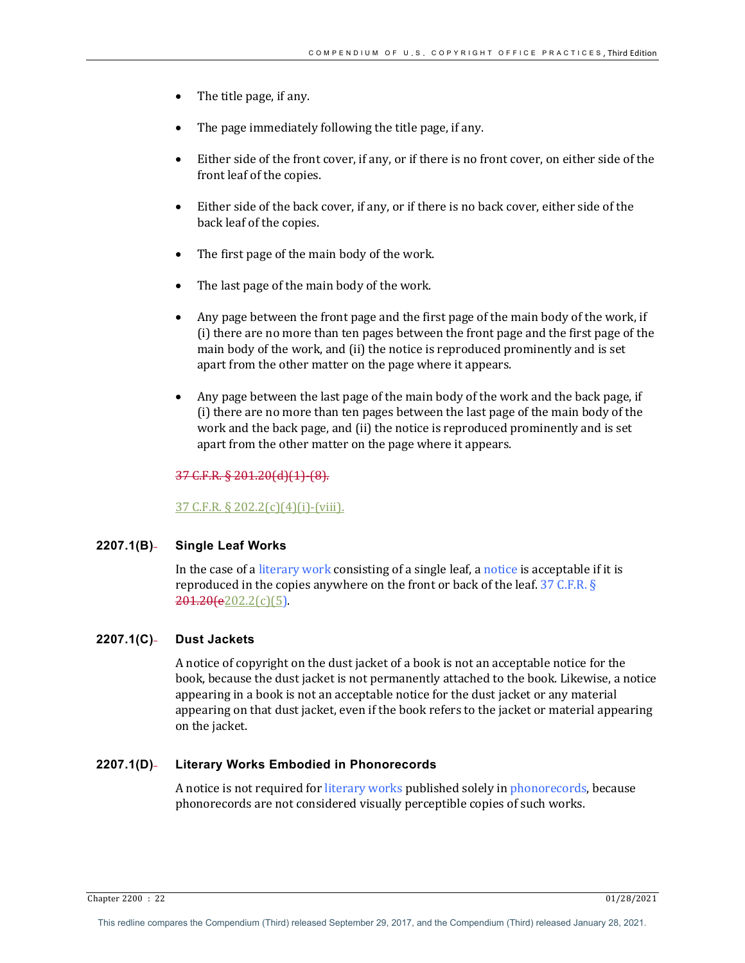- The title page, if any.
- The page immediately following the title page, if any.
- Either side of the front cover, if any, or if there is no front cover, on either side of the front leaf of the copies.
- Either side of the back cover, if any, or if there is no back cover, either side of the back leaf of the copies.
- The first page of the main body of the work.
- The last page of the main body of the work.
- Any page between the front page and the first page of the main body of the work, if (i) there are no more than ten pages between the front page and the first page of the main body of the work, and (ii) the notice is reproduced prominently and is set apart from the other matter on the page where it appears.
- Any page between the last page of the main body of the work and the back page, if (i) there are no more than ten pages between the last page of the main body of the work and the back page, and (ii) the notice is reproduced prominently and is set apart from the other matter on the page where it appears.

# 37 C.F.R. § 201.20(d)(1)-(8).

37 C.F.R. § 202.2(c)(4)(i)-(viii).

## **2207.1(B) Single Leaf Works**

In the case of a literary work consisting of a single leaf, a notice is acceptable if it is reproduced in the copies anywhere on the front or back of the leaf.  $37$  C.F.R. §  $201.20(e202.2(c)(5))$ .

## **2207.1(C) Dust Jackets**

A notice of copyright on the dust jacket of a book is not an acceptable notice for the book, because the dust jacket is not permanently attached to the book. Likewise, a notice appearing in a book is not an acceptable notice for the dust jacket or any material appearing on that dust jacket, even if the book refers to the jacket or material appearing on the jacket.

## **2207.1(D) Literary Works Embodied in Phonorecords**

A notice is not required for literary works published solely in phonorecords, because phonorecords are not considered visually perceptible copies of such works.

Chapter 2200 : 22 01/28/2021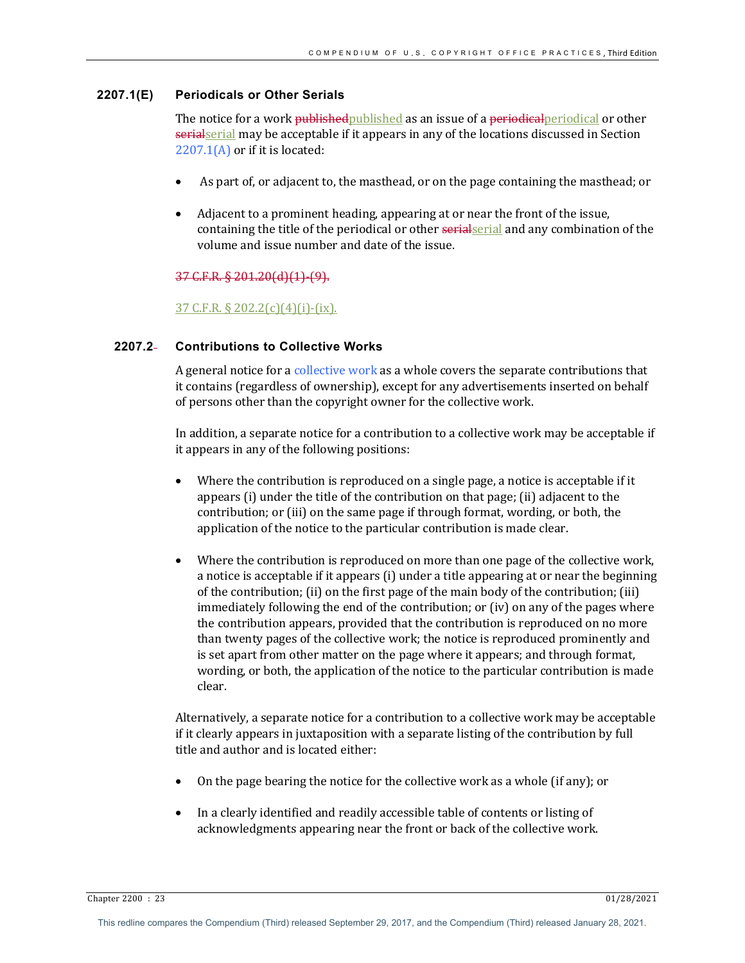## **2207.1(E) Periodicals or Other Serials**

The notice for a work published published as an issue of a periodical periodical or other serialserial may be acceptable if it appears in any of the locations discussed in Section  $2207.1(A)$  or if it is located:

- As part of, or adjacent to, the masthead, or on the page containing the masthead; or
- Adjacent to a prominent heading, appearing at or near the front of the issue, containing the title of the periodical or other serialserial and any combination of the volume and issue number and date of the issue.

## 37 C.F.R. § 201.20(d)(1)-(9).

## 37 C.F.R.  $\S 202.2(c)(4)(i)$ -(ix).

# **2207.2 Contributions to Collective Works**

A general notice for a collective work as a whole covers the separate contributions that it contains (regardless of ownership), except for any advertisements inserted on behalf of persons other than the copyright owner for the collective work.

In addition, a separate notice for a contribution to a collective work may be acceptable if it appears in any of the following positions:

- Where the contribution is reproduced on a single page, a notice is acceptable if it appears  $(i)$  under the title of the contribution on that page;  $(ii)$  adjacent to the contribution; or (iii) on the same page if through format, wording, or both, the application of the notice to the particular contribution is made clear.
- Where the contribution is reproduced on more than one page of the collective work, a notice is acceptable if it appears  $(i)$  under a title appearing at or near the beginning of the contribution; (ii) on the first page of the main body of the contribution; (iii) immediately following the end of the contribution; or (iv) on any of the pages where the contribution appears, provided that the contribution is reproduced on no more than twenty pages of the collective work; the notice is reproduced prominently and is set apart from other matter on the page where it appears; and through format, wording, or both, the application of the notice to the particular contribution is made clear.

Alternatively, a separate notice for a contribution to a collective work may be acceptable if it clearly appears in juxtaposition with a separate listing of the contribution by full title and author and is located either:

- On the page bearing the notice for the collective work as a whole (if any); or
- In a clearly identified and readily accessible table of contents or listing of acknowledgments appearing near the front or back of the collective work.

Chapter 2200 : 23 01/28/2021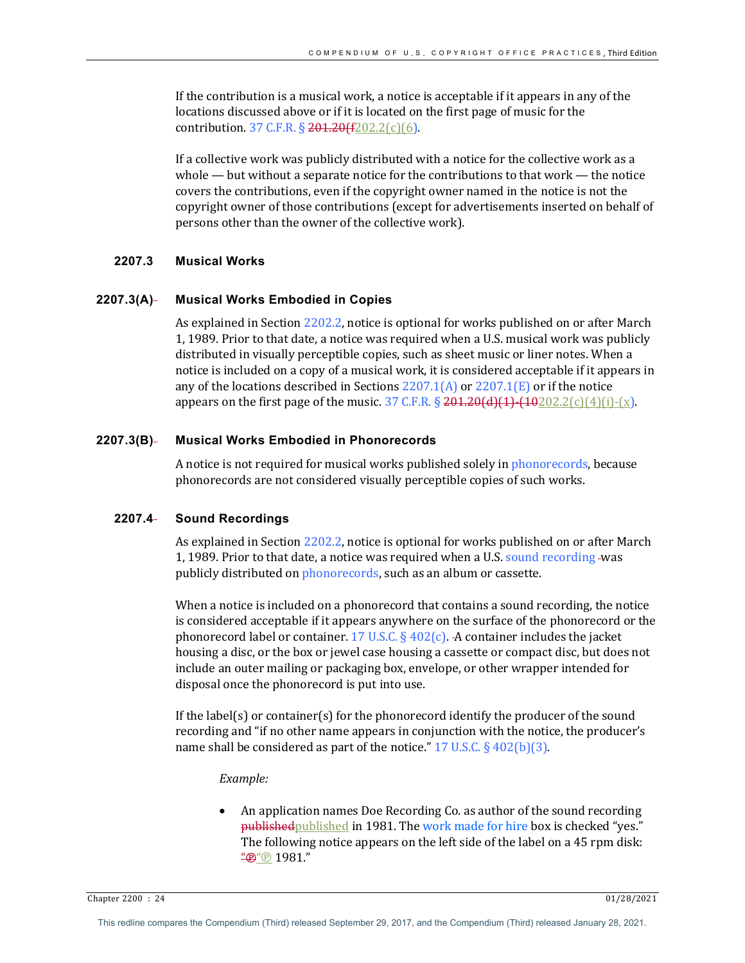If the contribution is a musical work, a notice is acceptable if it appears in any of the locations discussed above or if it is located on the first page of music for the contribution. 37 C.F.R.  $\S$  201.20(f<sub>202.2(c)(6)</sub>.

If a collective work was publicly distributed with a notice for the collective work as a whole — but without a separate notice for the contributions to that work — the notice covers the contributions, even if the copyright owner named in the notice is not the copyright owner of those contributions (except for advertisements inserted on behalf of persons other than the owner of the collective work).

# **2207.3 Musical Works**

#### **2207.3(A) Musical Works Embodied in Copies**

As explained in Section 2202.2, notice is optional for works published on or after March 1, 1989. Prior to that date, a notice was required when a U.S. musical work was publicly distributed in visually perceptible copies, such as sheet music or liner notes. When a notice is included on a copy of a musical work, it is considered acceptable if it appears in any of the locations described in Sections  $2207.1(A)$  or  $2207.1(E)$  or if the notice appears on the first page of the music. 37 C.F.R.  $\S 201.20(d)(1)$  (10202.2(c)(4)(i)-(x).

## **2207.3(B) Musical Works Embodied in Phonorecords**

A notice is not required for musical works published solely in phonorecords, because phonorecords are not considered visually perceptible copies of such works.

# **2207.4 Sound Recordings**

As explained in Section 2202.2, notice is optional for works published on or after March 1, 1989. Prior to that date, a notice was required when a U.S. sound recording -was publicly distributed on phonorecords, such as an album or cassette.

When a notice is included on a phonorecord that contains a sound recording, the notice is considered acceptable if it appears anywhere on the surface of the phonorecord or the phonorecord label or container. 17 U.S.C.  $\S$  402(c). A container includes the jacket housing a disc, or the box or jewel case housing a cassette or compact disc, but does not include an outer mailing or packaging box, envelope, or other wrapper intended for disposal once the phonorecord is put into use.

If the label(s) or container(s) for the phonorecord identify the producer of the sound recording and "if no other name appears in conjunction with the notice, the producer's name shall be considered as part of the notice."  $17 \text{ U.S.C.} \S 402(b)(3)$ .

#### *Example:*

An application names Doe Recording Co. as author of the sound recording published published in 1981. The work made for hire box is checked "yes." The following notice appears on the left side of the label on a 45 rpm disk: "Ⓟ"℗ 1981."

Chapter 2200 : 24 01/28/2021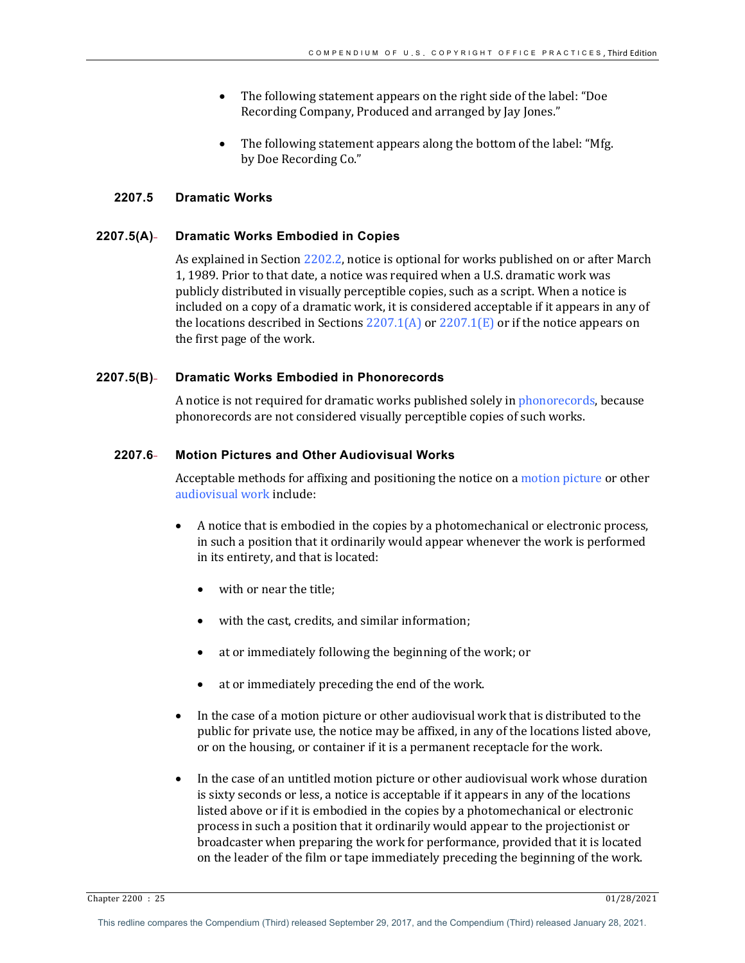- The following statement appears on the right side of the label: "Doe Recording Company, Produced and arranged by Jay Jones."
- The following statement appears along the bottom of the label: "Mfg. by Doe Recording Co."

## **2207.5 Dramatic Works**

## **2207.5(A) Dramatic Works Embodied in Copies**

As explained in Section  $2202.2$ , notice is optional for works published on or after March 1, 1989. Prior to that date, a notice was required when a U.S. dramatic work was publicly distributed in visually perceptible copies, such as a script. When a notice is included on a copy of a dramatic work, it is considered acceptable if it appears in any of the locations described in Sections  $2207.1(A)$  or  $2207.1(E)$  or if the notice appears on the first page of the work.

# **2207.5(B) Dramatic Works Embodied in Phonorecords**

A notice is not required for dramatic works published solely in phonorecords, because phonorecords are not considered visually perceptible copies of such works.

# **2207.6 Motion Pictures and Other Audiovisual Works**

Acceptable methods for affixing and positioning the notice on a motion picture or other audiovisual work include:

- A notice that is embodied in the copies by a photomechanical or electronic process, in such a position that it ordinarily would appear whenever the work is performed in its entirety, and that is located:
	- with or near the title;
	- with the cast, credits, and similar information;
	- at or immediately following the beginning of the work; or
	- at or immediately preceding the end of the work.
- In the case of a motion picture or other audiovisual work that is distributed to the public for private use, the notice may be affixed, in any of the locations listed above, or on the housing, or container if it is a permanent receptacle for the work.
- In the case of an untitled motion picture or other audiovisual work whose duration is sixty seconds or less, a notice is acceptable if it appears in any of the locations listed above or if it is embodied in the copies by a photomechanical or electronic process in such a position that it ordinarily would appear to the projectionist or broadcaster when preparing the work for performance, provided that it is located on the leader of the film or tape immediately preceding the beginning of the work.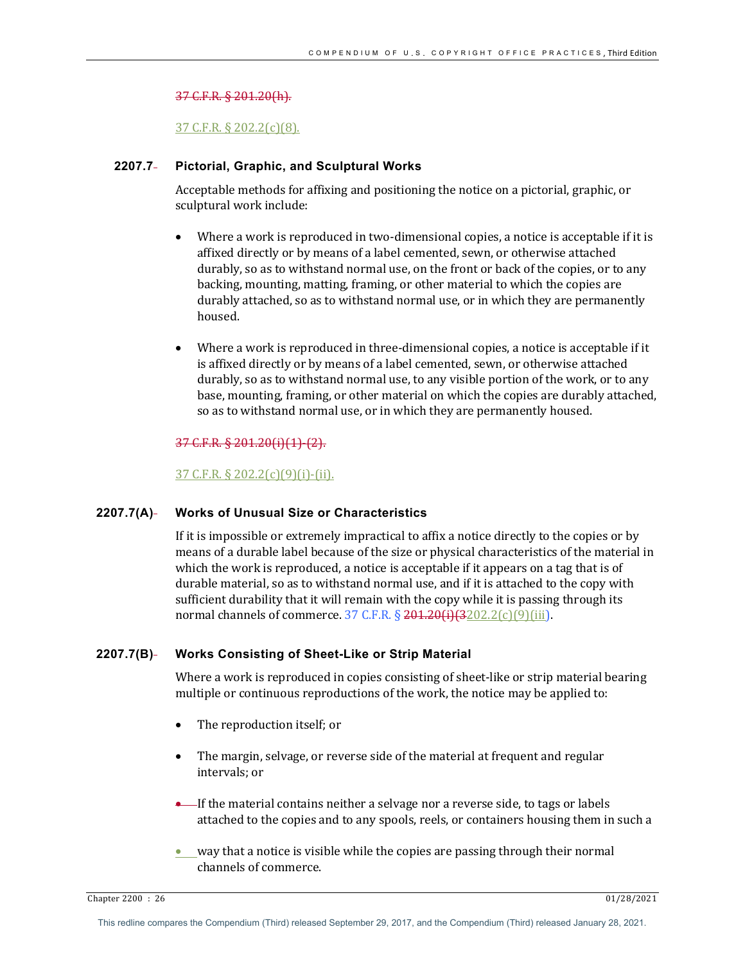#### 37 C.F.R. § 201.20(h).

## $37$  C.F.R. § 202.2(c)(8).

## **2207.7 Pictorial, Graphic, and Sculptural Works**

Acceptable methods for affixing and positioning the notice on a pictorial, graphic, or sculptural work include:

- Where a work is reproduced in two-dimensional copies, a notice is acceptable if it is affixed directly or by means of a label cemented, sewn, or otherwise attached durably, so as to withstand normal use, on the front or back of the copies, or to any backing, mounting, matting, framing, or other material to which the copies are durably attached, so as to withstand normal use, or in which they are permanently housed.
- Where a work is reproduced in three-dimensional copies, a notice is acceptable if it is affixed directly or by means of a label cemented, sewn, or otherwise attached durably, so as to withstand normal use, to any visible portion of the work, or to any base, mounting, framing, or other material on which the copies are durably attached, so as to withstand normal use, or in which they are permanently housed.

## 37 C.F.R. § 201.20(i)(1)-(2).

37 C.F.R. § 202.2(c)(9)(i)-(ii).

## **2207.7(A) Works of Unusual Size or Characteristics**

If it is impossible or extremely impractical to affix a notice directly to the copies or by means of a durable label because of the size or physical characteristics of the material in which the work is reproduced, a notice is acceptable if it appears on a tag that is of durable material, so as to withstand normal use, and if it is attached to the copy with sufficient durability that it will remain with the copy while it is passing through its normal channels of commerce.  $37$  C.F.R. §  $201.20(i)(3202.2(c)(9)(iii)$ .

#### **2207.7(B) Works Consisting of Sheet-Like or Strip Material**

Where a work is reproduced in copies consisting of sheet-like or strip material bearing multiple or continuous reproductions of the work, the notice may be applied to:

- The reproduction itself; or
- The margin, selvage, or reverse side of the material at frequent and regular intervals; or
- If the material contains neither a selvage nor a reverse side, to tags or labels attached to the copies and to any spools, reels, or containers housing them in such a
- way that a notice is visible while the copies are passing through their normal channels of commerce.

Chapter 2200 : 26 01/28/2021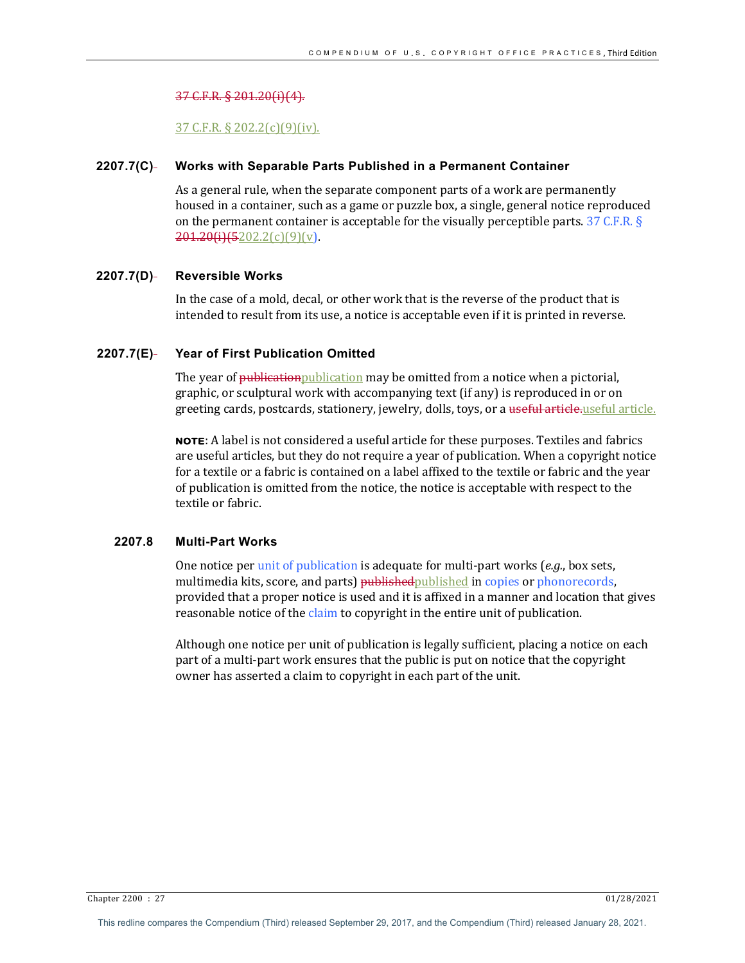## 37 C.F.R. § 201.20(i)(4).

#### $37$  C.F.R. § 202.2(c)(9)(iv).

## **2207.7(C) Works with Separable Parts Published in a Permanent Container**

As a general rule, when the separate component parts of a work are permanently housed in a container, such as a game or puzzle box, a single, general notice reproduced on the permanent container is acceptable for the visually perceptible parts.  $37$  C.F.R. §  $201.20(i)(5202.2(c)(9)(v).$ 

## **2207.7(D) Reversible Works**

In the case of a mold, decal, or other work that is the reverse of the product that is intended to result from its use, a notice is acceptable even if it is printed in reverse.

## **2207.7(E) Year of First Publication Omitted**

The year of publicationpublication may be omitted from a notice when a pictorial, graphic, or sculptural work with accompanying text (if any) is reproduced in or on greeting cards, postcards, stationery, jewelry, dolls, toys, or a useful article-useful article.

NOTE: A label is not considered a useful article for these purposes. Textiles and fabrics are useful articles, but they do not require a year of publication. When a copyright notice for a textile or a fabric is contained on a label affixed to the textile or fabric and the year of publication is omitted from the notice, the notice is acceptable with respect to the textile or fabric.

# **2207.8 Multi-Part Works**

One notice per unit of publication is adequate for multi-part works (*e.g.*, box sets, multimedia kits, score, and parts) **published** published in copies or phonorecords, provided that a proper notice is used and it is affixed in a manner and location that gives reasonable notice of the claim to copyright in the entire unit of publication.

Although one notice per unit of publication is legally sufficient, placing a notice on each part of a multi-part work ensures that the public is put on notice that the copyright owner has asserted a claim to copyright in each part of the unit.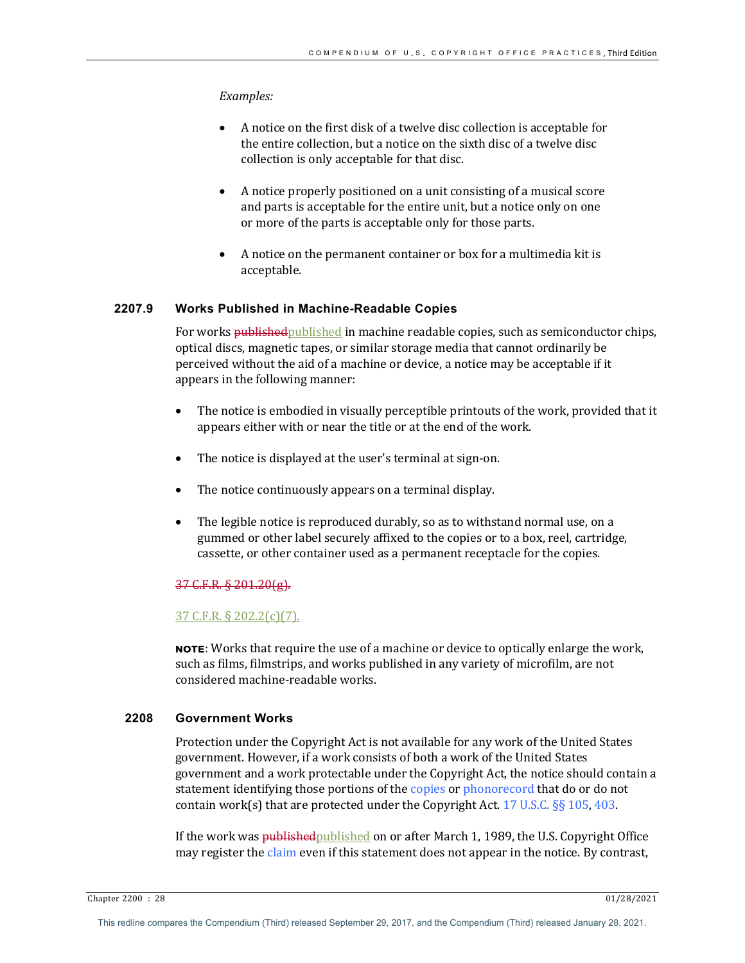## Examples:

- A notice on the first disk of a twelve disc collection is acceptable for the entire collection, but a notice on the sixth disc of a twelve disc collection is only acceptable for that disc.
- A notice properly positioned on a unit consisting of a musical score and parts is acceptable for the entire unit, but a notice only on one or more of the parts is acceptable only for those parts.
- A notice on the permanent container or box for a multimedia kit is acceptable.

# **2207.9 Works Published in Machine-Readable Copies**

For works published published in machine readable copies, such as semiconductor chips, optical discs, magnetic tapes, or similar storage media that cannot ordinarily be perceived without the aid of a machine or device, a notice may be acceptable if it appears in the following manner:

- The notice is embodied in visually perceptible printouts of the work, provided that it appears either with or near the title or at the end of the work.
- The notice is displayed at the user's terminal at sign-on.
- The notice continuously appears on a terminal display.
- The legible notice is reproduced durably, so as to withstand normal use, on a gummed or other label securely affixed to the copies or to a box, reel, cartridge, cassette, or other container used as a permanent receptacle for the copies.

## 37 C.F.R. § 201.20(g).

## 37 C.F.R. § 202.2(c)(7).

**NOTE:** Works that require the use of a machine or device to optically enlarge the work, such as films, filmstrips, and works published in any variety of microfilm, are not considered machine-readable works.

# **2208 Government Works**

Protection under the Copyright Act is not available for any work of the United States government. However, if a work consists of both a work of the United States government and a work protectable under the Copyright Act, the notice should contain a statement identifying those portions of the copies or phonorecord that do or do not contain work(s) that are protected under the Copyright Act.  $17$  U.S.C. §§ 105, 403.

If the work was published published on or after March 1, 1989, the U.S. Copyright Office may register the claim even if this statement does not appear in the notice. By contrast,

Chapter 2200 : 28 01/28/2021